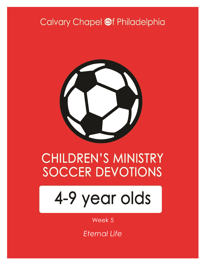# Calvary Chapel @f Philadelphia



# **CHILDREN'S MINISTRY SOCCER DEVOTIONS**

# 4-9 year olds

#### Week 5

*Eternal Life*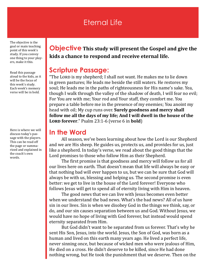# Eternal Life

The objective is the goal or main teaching point of this week's study. If you convey one thing to your players, make it this.

Read this passage aloud to the kids, as it will be the focus of this week's study. Each week's memory verse will be in bold.

Here is where we will discuss today's passage with the players. This can be read off the page or summarized and explained in the coach's own words.

#### **Objective This study will present the Gospel and give the kids a chance to respond and receive eternal life.**

#### **Scripture Passage:**

"The LORD is my shepherd; I shall not want. He makes me to lie down in green pastures; He leads me beside the still waters. He restores my soul; He leads me in the paths of righteousness for His name's sake. Yea, though I walk through the valley of the shadow of death, I will fear no evil; For You are with me; Your rod and Your staff, they comfort me. You prepare a table before me in the presence of my enemies; You anoint my head with oil; My cup runs over. **Surely goodness and mercy shall follow me all the days of my life; And I will dwell in the house of the LORD** forever." Psalm 23:1-6 (verse 6 in **bold**)

#### **In the Word**

All season, we've been learning about how the Lord is our Shepherd and we are His sheep. He guides us, protects us, and provides for us, just like a shepherd. In today's verse, we read about the good things that the Lord promises to those who follow Him as their Shepherd.

The first promise is that goodness and mercy will follow us for all our lives here on earth. That doesn't mean that life will always be easy or that nothing bad will ever happen to us, but we can be sure that God will always be with us, blessing and helping us. The second promise is even better: we get to live in the house of the Lord forever! Everyone who follows Jesus will get to spend all of eternity living with Him in heaven.

The good news that we can live with Jesus becomes even better when we understand the bad news. What's the bad news? All of us have sin in our lives. Sin is when we disobey God in the things we think, say, or do, and our sin causes separation between us and God. Without Jesus, we would have no hope of living with God forever, but instead would spend eternity separated from Him.

But God didn't want to be separated from us forever. That's why he sent His Son, Jesus, into the world. Jesus, the Son of God, was born as a human and lived on this earth many years ago. He lived a perfect life, never sinning once, but because of wicked men who were jealous of Him, He died on a cross. He didn't deserve to be killed, since He had done nothing wrong, but He took the punishment that we deserve. Then on the